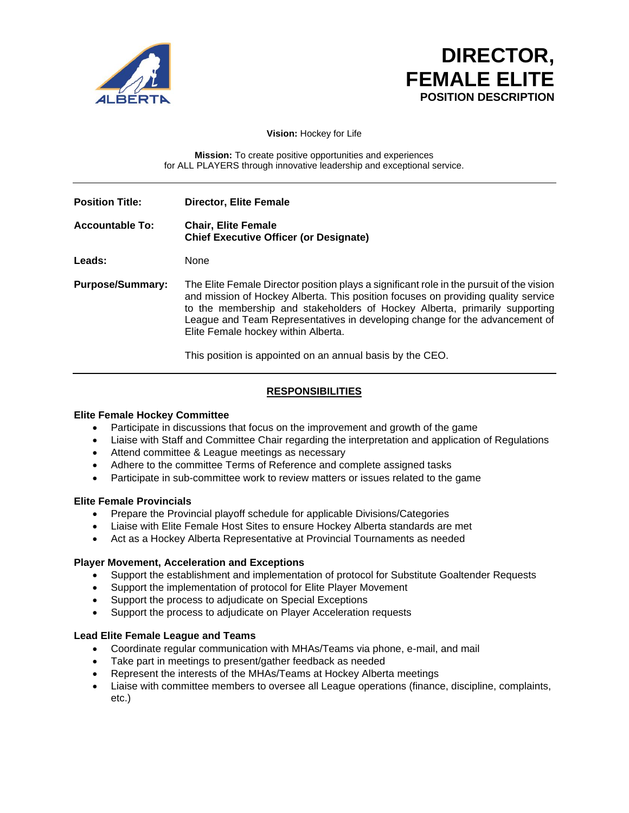

# **DIRECTOR, FEMALE ELITE POSITION DESCRIPTION**

**Vision:** Hockey for Life

**Mission:** To create positive opportunities and experiences for ALL PLAYERS through innovative leadership and exceptional service.

| <b>Position Title:</b>  | <b>Director, Elite Female</b>                                                                                                                                                                                                                                                                                                                                                     |
|-------------------------|-----------------------------------------------------------------------------------------------------------------------------------------------------------------------------------------------------------------------------------------------------------------------------------------------------------------------------------------------------------------------------------|
| <b>Accountable To:</b>  | <b>Chair, Elite Female</b><br><b>Chief Executive Officer (or Designate)</b>                                                                                                                                                                                                                                                                                                       |
| Leads:                  | None                                                                                                                                                                                                                                                                                                                                                                              |
| <b>Purpose/Summary:</b> | The Elite Female Director position plays a significant role in the pursuit of the vision<br>and mission of Hockey Alberta. This position focuses on providing quality service<br>to the membership and stakeholders of Hockey Alberta, primarily supporting<br>League and Team Representatives in developing change for the advancement of<br>Elite Female hockey within Alberta. |
|                         | This position is appointed on an annual basis by the CEO.                                                                                                                                                                                                                                                                                                                         |

**RESPONSIBILITIES**

## **Elite Female Hockey Committee**

- Participate in discussions that focus on the improvement and growth of the game
- Liaise with Staff and Committee Chair regarding the interpretation and application of Regulations
- Attend committee & League meetings as necessary
- Adhere to the committee Terms of Reference and complete assigned tasks
- Participate in sub-committee work to review matters or issues related to the game

### **Elite Female Provincials**

- Prepare the Provincial playoff schedule for applicable Divisions/Categories
- Liaise with Elite Female Host Sites to ensure Hockey Alberta standards are met
- Act as a Hockey Alberta Representative at Provincial Tournaments as needed

### **Player Movement, Acceleration and Exceptions**

- Support the establishment and implementation of protocol for Substitute Goaltender Requests
- Support the implementation of protocol for Elite Player Movement
- Support the process to adjudicate on Special Exceptions
- Support the process to adjudicate on Player Acceleration requests

### **Lead Elite Female League and Teams**

- Coordinate regular communication with MHAs/Teams via phone, e-mail, and mail
- Take part in meetings to present/gather feedback as needed
- Represent the interests of the MHAs/Teams at Hockey Alberta meetings
- Liaise with committee members to oversee all League operations (finance, discipline, complaints, etc.)